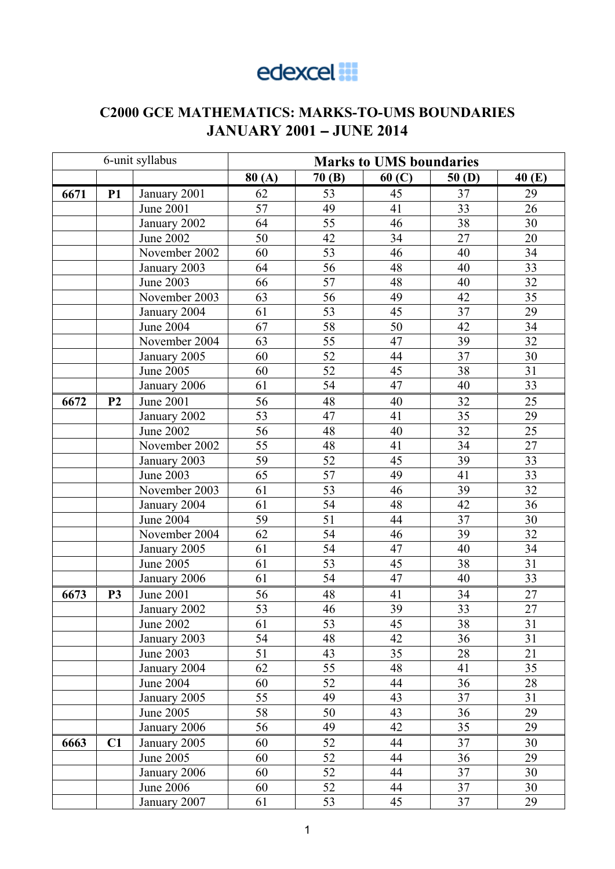## edexcel **:**

## **C2000 GCE MATHEMATICS: MARKS-TO-UMS BOUNDARIES JANUARY 2001** − **JUNE 2014**

|      |                | 6-unit syllabus  | <b>Marks to UMS boundaries</b> |                 |       |                 |                 |  |
|------|----------------|------------------|--------------------------------|-----------------|-------|-----------------|-----------------|--|
|      |                |                  | 80(A)                          | 70(B)           | 60(C) | 50(D)           | 40 (E)          |  |
| 6671 | <b>P1</b>      | January 2001     | 62                             | 53              | 45    | 37              | 29              |  |
|      |                | <b>June 2001</b> | 57                             | 49              | 41    | 33              | 26              |  |
|      |                | January 2002     | 64                             | 55              | 46    | $\overline{38}$ | 30              |  |
|      |                | <b>June 2002</b> | 50                             | 42              | 34    | 27              | 20              |  |
|      |                | November 2002    | 60                             | 53              | 46    | 40              | 34              |  |
|      |                | January 2003     | 64                             | 56              | 48    | 40              | 33              |  |
|      |                | <b>June 2003</b> | 66                             | $\overline{57}$ | 48    | 40              | 32              |  |
|      |                | November 2003    | 63                             | 56              | 49    | 42              | $\overline{35}$ |  |
|      |                | January 2004     | 61                             | 53              | 45    | 37              | 29              |  |
|      |                | <b>June 2004</b> | 67                             | 58              | 50    | 42              | 34              |  |
|      |                | November 2004    | 63                             | $\overline{55}$ | 47    | 39              | 32              |  |
|      |                | January 2005     | 60                             | 52              | 44    | 37              | 30              |  |
|      |                | <b>June 2005</b> | 60                             | 52              | 45    | 38              | 31              |  |
|      |                | January 2006     | 61                             | 54              | 47    | 40              | 33              |  |
| 6672 | P <sub>2</sub> | <b>June 2001</b> | 56                             | 48              | 40    | 32              | 25              |  |
|      |                | January 2002     | 53                             | 47              | 41    | 35              | 29              |  |
|      |                | <b>June 2002</b> | $\overline{56}$                | 48              | 40    | $\overline{32}$ | 25              |  |
|      |                | November 2002    | 55                             | 48              | 41    | $\overline{34}$ | 27              |  |
|      |                | January 2003     | 59                             | 52              | 45    | 39              | 33              |  |
|      |                | <b>June 2003</b> | 65                             | 57              | 49    | 41              | 33              |  |
|      |                | November 2003    | 61                             | $\overline{53}$ | 46    | 39              | $\overline{32}$ |  |
|      |                | January 2004     | 61                             | 54              | 48    | 42              | 36              |  |
|      |                | <b>June 2004</b> | 59                             | 51              | 44    | 37              | 30              |  |
|      |                | November 2004    | 62                             | 54<br>46        | 39    | 32              |                 |  |
|      |                | January 2005     | 61                             | 54              | 47    | 40              | 34              |  |
|      |                | <b>June 2005</b> | 61                             | 53              | 45    | 38              | 31              |  |
|      |                | January 2006     | 61                             | 54              | 47    | 40              | 33              |  |
| 6673 | P <sub>3</sub> | <b>June 2001</b> | 56                             | 48              | 41    | 34              | 27              |  |
|      |                | January 2002     | $\overline{53}$                | 46              | 39    | $\overline{33}$ | $\overline{27}$ |  |
|      |                | June 2002        | 61                             | 53              | 45    | 38              | 31              |  |
|      |                | January 2003     | 54                             | 48              | 42    | 36              | 31              |  |
|      |                | June 2003        | 51                             | 43              | 35    | 28              | 21              |  |
|      |                | January 2004     | 62                             | 55              | 48    | 41              | 35              |  |
|      |                | <b>June 2004</b> | 60                             | 52              | 44    | 36              | 28              |  |
|      |                | January 2005     | 55                             | 49              | 43    | 37              | 31              |  |
|      |                | June 2005        | 58                             | 50              | 43    | 36              | 29              |  |
|      |                | January 2006     | 56                             | 49              | 42    | 35              | 29              |  |
| 6663 | C1             | January 2005     | 60                             | 52              | 44    | 37              | 30              |  |
|      |                | June 2005        | 60                             | 52              | 44    | 36              | 29              |  |
|      |                | January 2006     | 60                             | 52              | 44    | 37              | 30              |  |
|      |                | June 2006        | 60                             | 52              | 44    | 37              | 30              |  |
|      |                | January 2007     | 61                             | 53              | 45    | 37              | 29              |  |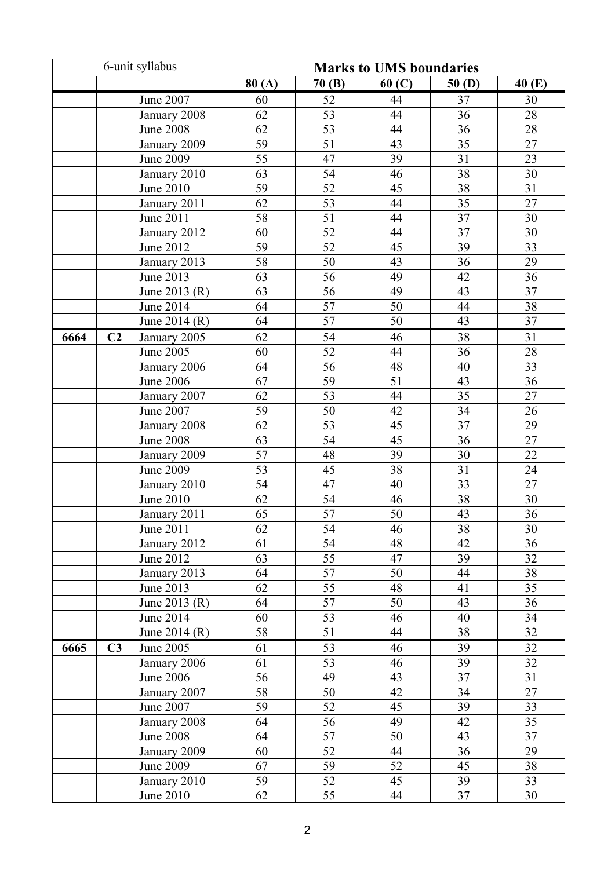|      |                | 6-unit syllabus  |       |                 | <b>Marks to UMS boundaries</b> |                 |                 |
|------|----------------|------------------|-------|-----------------|--------------------------------|-----------------|-----------------|
|      |                |                  | 80(A) | 70(B)           | 60(C)                          | 50(D)           | 40(E)           |
|      |                | <b>June 2007</b> | 60    | 52              | 44                             | 37              | 30              |
|      |                | January 2008     | 62    | 53              | 44                             | 36              | 28              |
|      |                | <b>June 2008</b> | 62    | 53              | 44                             | 36              | 28              |
|      |                | January 2009     | 59    | 51              | 43                             | 35              | 27              |
|      |                | <b>June 2009</b> | 55    | 47              | 39                             | 31              | 23              |
|      |                | January 2010     | 63    | $\overline{54}$ | 46                             | $\overline{38}$ | 30              |
|      |                | June 2010        | 59    | 52              | 45                             | 38              | $\overline{31}$ |
|      |                | January 2011     | 62    | 53              | 44                             | $\overline{35}$ | $\overline{27}$ |
|      |                | June 2011        | 58    | 51              | 44                             | 37              | 30              |
|      |                | January 2012     | 60    | $\overline{52}$ | 44                             | $\overline{37}$ | 30              |
|      |                | June 2012        | 59    | 52              | 45                             | 39              | 33              |
|      |                | January 2013     | 58    | 50              | 43                             | 36              | 29              |
|      |                | June 2013        | 63    | 56              | 49                             | 42              | 36              |
|      |                | June 2013 (R)    | 63    | 56              | 49                             | 43              | 37              |
|      |                | June 2014        | 64    | 57              | 50                             | 44              | 38              |
|      |                | June 2014 (R)    | 64    | 57              | 50                             | 43              | 37              |
| 6664 | C <sub>2</sub> | January 2005     | 62    | 54              | 46                             | 38              | 31              |
|      |                | <b>June 2005</b> | 60    | 52              | 44                             | 36              | 28              |
|      |                | January 2006     | 64    | 56              | 48                             | 40              | 33              |
|      |                | <b>June 2006</b> | 67    | 59              | 51                             | 43              | $\overline{36}$ |
|      |                | January 2007     | 62    | 53              | 44                             | 35              | 27              |
|      |                | <b>June 2007</b> | 59    | 50              | 42                             | 34              | 26              |
|      |                | January 2008     | 62    | 53              | 45                             | 37              | 29              |
|      |                | <b>June 2008</b> | 63    | 54              | 45                             | 36              | 27              |
|      |                | January 2009     | 57    | 48              | 39                             | 30              | 22              |
|      |                | <b>June 2009</b> | 53    | 45              | 38                             | 31              | 24              |
|      |                | January 2010     | 54    | 47              | 40                             | 33              | 27              |
|      |                | <b>June 2010</b> | 62    | 54              | 46                             | 38              | 30              |
|      |                | January 2011     | 65    | $\overline{57}$ | 50                             | 43              | 36              |
|      |                | June 2011        | 62    | 54              | 46                             | 38              | 30              |
|      |                | January 2012     | 61    | 54              | 48                             | 42              | 36              |
|      |                | June 2012        | 63    | 55              | 47                             | 39              | 32              |
|      |                | January 2013     | 64    | 57              | 50                             | 44              | 38              |
|      |                | June 2013        | 62    | 55              | 48                             | 41              | 35              |
|      |                | June 2013 (R)    | 64    | 57              | 50                             | 43              | 36              |
|      |                | June 2014        | 60    | 53              | 46                             | 40              | 34              |
|      |                | June 2014 (R)    | 58    | 51              | 44                             | 38              | 32              |
| 6665 | C <sub>3</sub> | <b>June 2005</b> | 61    | 53              | 46                             | 39              | 32              |
|      |                | January 2006     | 61    | 53              | 46                             | 39              | 32              |
|      |                | <b>June 2006</b> | 56    | 49              | 43                             | 37              | 31              |
|      |                | January 2007     | 58    | 50              | 42                             | 34              | 27              |
|      |                | <b>June 2007</b> | 59    | 52              | 45                             | 39              | 33              |
|      |                | January 2008     | 64    | 56              | 49                             | 42              | $\overline{35}$ |
|      |                | <b>June 2008</b> | 64    | 57              | 50                             | 43              | 37              |
|      |                | January 2009     | 60    | 52              | 44                             | 36              | 29              |
|      |                | June 2009        | 67    | 59              | 52                             | 45              | 38              |
|      |                | January 2010     | 59    | 52              | 45                             | 39              | 33              |
|      |                | June 2010        | 62    | 55              | 44                             | 37              | 30              |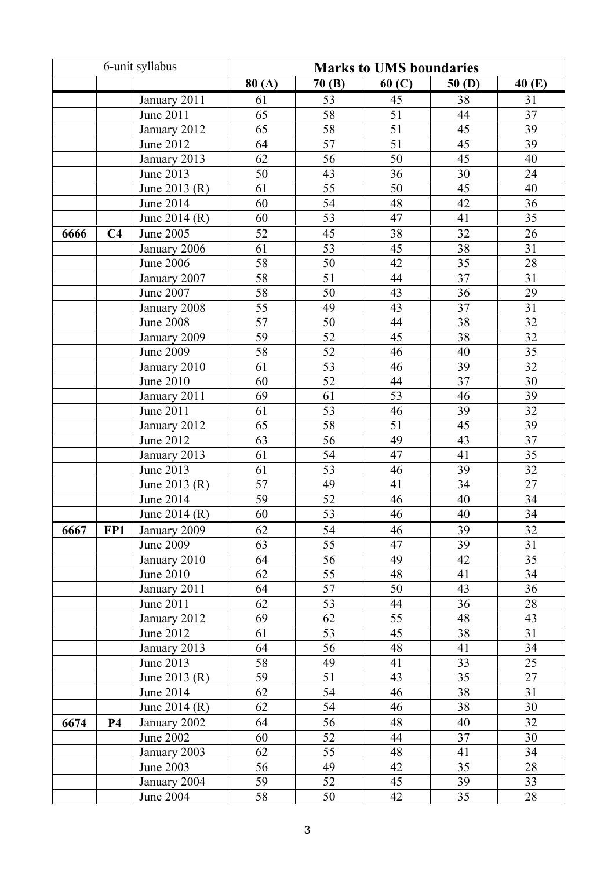| 6-unit syllabus |                |                            | <b>Marks to UMS boundaries</b> |          |                 |                 |                 |  |
|-----------------|----------------|----------------------------|--------------------------------|----------|-----------------|-----------------|-----------------|--|
|                 |                |                            | 80(A)                          | 70(B)    | 60(C)           | 50(D)           | 40 (E)          |  |
|                 |                | January 2011               | 61                             | 53       | 45              | 38              | 31              |  |
|                 |                | June 2011                  | 65                             | 58       | 51              | 44              | 37              |  |
|                 |                | January 2012               | 65                             | 58       | 51              | 45              | 39              |  |
|                 |                | June 2012                  | 64                             | 57       | $\overline{51}$ | 45              | 39              |  |
|                 |                | January 2013               | 62                             | 56       | 50              | 45              | 40              |  |
|                 |                | June 2013                  | 50                             | 43       | 36              | 30              | 24              |  |
|                 |                | June 2013 (R)              | 61                             | 55       | 50              | 45              | 40              |  |
|                 |                | June 2014                  | 60                             | 54       | 48              | 42              | 36              |  |
|                 |                | June 2014 (R)              | 60                             | 53       | 47              | 41              | 35              |  |
| 6666            | C <sub>4</sub> | June 2005                  | 52                             | 45       | 38              | 32              | 26              |  |
|                 |                | January 2006               | 61                             | 53       | 45              | $\overline{38}$ | 31              |  |
|                 |                | <b>June 2006</b>           | 58                             | 50       | 42              | $\overline{35}$ | 28              |  |
|                 |                | January 2007               | 58                             | 51       | 44              | $\overline{37}$ | 31              |  |
|                 |                | <b>June 2007</b>           | 58                             | 50       | 43              | 36              | 29              |  |
|                 |                | January 2008               | 55                             | 49       | 43              | 37              | 31              |  |
|                 |                | <b>June 2008</b>           | 57                             | 50       | 44              | 38              | 32              |  |
|                 |                | January 2009               | 59                             | 52       | 45              | 38              | 32              |  |
|                 |                | <b>June 2009</b>           | 58                             | 52       | 46              | 40              | 35              |  |
|                 |                | January 2010               | 61                             | 53       | 46              | 39              | 32              |  |
|                 |                | June 2010                  | 60                             | 52       | 44              | 37              | 30              |  |
|                 |                | January 2011               | 69                             | 61       | 53              | 46              | 39              |  |
|                 |                | <b>June 2011</b>           | 61                             | 53       | 46              | 39              | $\overline{32}$ |  |
|                 |                | January 2012               | 65                             | 58       | 51              | 45              | 39              |  |
|                 |                | June 2012                  | 63                             | 56       | 49              | 43              | 37              |  |
|                 |                | January 2013               | 61                             | 54       | 47              | 41              | $\overline{35}$ |  |
|                 |                | June 2013                  | 61                             | 53       | 46              | 39              | 32              |  |
|                 |                | June 2013 (R)              | $\overline{57}$                | 49       | 41              | $\overline{34}$ | $\overline{27}$ |  |
|                 |                | June 2014                  | 59                             | 52       | 46              | 40              | 34              |  |
|                 |                | June 2014 (R)              | 60                             | 53       | 46              | 40              | 34              |  |
| 6667            | FP1            | January 2009               | 62                             | 54       | 46              | 39              | 32              |  |
|                 |                | June 2009                  | 63                             | 55       | 47              | 39              | 31              |  |
|                 |                | January 2010               | 64                             | 56       | 49              | 42              | 35              |  |
|                 |                | June 2010                  | 62                             | 55       | 48              | 41              | 34              |  |
|                 |                | January 2011               | 64                             | 57       | 50              | 43              | 36              |  |
|                 |                | June 2011                  | 62                             | 53       | 44              | 36              | 28              |  |
|                 |                | January 2012               | 69                             | 62       | 55              | 48              | 43              |  |
|                 |                | June 2012                  | 61                             | 53       | 45<br>48        | 38              | 31              |  |
|                 |                | January 2013               | 64<br>58                       | 56<br>49 |                 | 41              | 34              |  |
|                 |                | June 2013                  |                                | 51       | 41              | 33<br>35        | 25              |  |
|                 |                | June 2013 (R)<br>June 2014 | 59<br>62                       | 54       | 43<br>46        | 38              | 27<br>31        |  |
|                 |                | June 2014 (R)              | 62                             | 54       | 46              | 38              | 30              |  |
|                 | <b>P4</b>      |                            | 64                             | 56       | 48              | 40              | 32              |  |
| 6674            |                | January 2002<br>June 2002  | 60                             | 52       | 44              | 37              | 30              |  |
|                 |                | January 2003               | 62                             | 55       | 48              | 41              | 34              |  |
|                 |                | June 2003                  | 56                             | 49       | 42              | 35              | 28              |  |
|                 |                | January 2004               | 59                             | 52       | 45              | 39              | 33              |  |
|                 |                | June 2004                  | 58                             | 50       | 42              | 35              | 28              |  |
|                 |                |                            |                                |          |                 |                 |                 |  |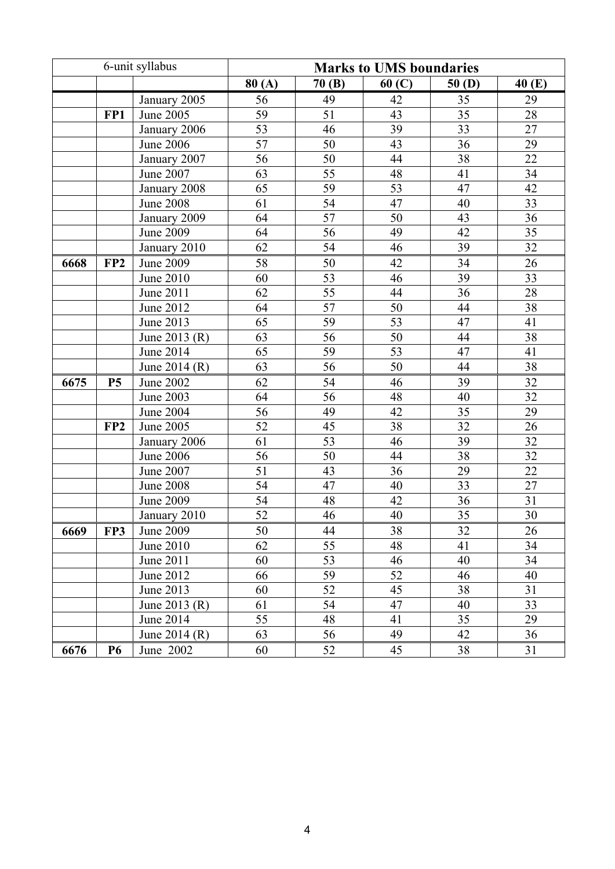|      |                 | 6-unit syllabus  |                 |                 | <b>Marks to UMS boundaries</b> |                 |                 |
|------|-----------------|------------------|-----------------|-----------------|--------------------------------|-----------------|-----------------|
|      |                 |                  | 80(A)           | 70(B)           | 60(C)                          | 50(D)           | 40 (E)          |
|      |                 | January 2005     | 56              | 49              | 42                             | 35              | 29              |
|      | FP1             | June 2005        | 59              | 51              | 43                             | 35              | 28              |
|      |                 | January 2006     | 53              | 46              | 39                             | 33              | 27              |
|      |                 | <b>June 2006</b> | 57              | 50              | 43                             | 36              | 29              |
|      |                 | January 2007     | 56              | 50              | 44                             | 38              | 22              |
|      |                 | <b>June 2007</b> | 63              | $\overline{55}$ | 48                             | 41              | 34              |
|      |                 | January 2008     | 65              | 59              | 53                             | 47              | 42              |
|      |                 | <b>June 2008</b> | 61              | 54              | 47                             | 40              | 33              |
|      |                 | January 2009     | 64              | 57              | 50                             | 43              | 36              |
|      |                 | <b>June 2009</b> | 64              | $\overline{56}$ | 49                             | 42              | $\overline{35}$ |
|      |                 | January 2010     | 62              | 54              | 46                             | 39              | 32              |
| 6668 | FP <sub>2</sub> | <b>June 2009</b> | 58              | 50              | 42                             | 34              | 26              |
|      |                 | June 2010        | 60              | 53              | 46                             | 39              | 33              |
|      |                 | June 2011        | 62              | 55              | 44                             | 36              | 28              |
|      |                 | June 2012        | 64              | 57              | 50                             | 44              | 38              |
|      |                 | June 2013        | 65              | 59              | $\overline{53}$                | 47              | 41              |
|      |                 | June 2013 (R)    | 63              | 56              | $\overline{50}$                | 44              | 38              |
|      |                 | June 2014        | 65              | 59              | 53                             | 47              | 41              |
|      |                 | June 2014 (R)    | 63              | 56              | 50                             | 44              | 38              |
| 6675 | <b>P5</b>       | <b>June 2002</b> | 62              | 54              | 46                             | 39              | 32              |
|      |                 | June 2003        | 64              | 56              | 48                             | 40              | 32              |
|      |                 | June 2004        | 56              | 49              | 42                             | 35              | 29              |
|      | FP <sub>2</sub> | June 2005        | 52              | 45              | 38                             | 32              | 26              |
|      |                 | January 2006     | 61              | 53              | 46                             | 39              | $\overline{32}$ |
|      |                 | <b>June 2006</b> | 56              | 50              | 44                             | 38              | $\overline{32}$ |
|      |                 | June 2007        | 51              | 43              | 36                             | 29              | $\overline{22}$ |
|      |                 | <b>June 2008</b> | 54              | 47              | 40                             | $\overline{33}$ | $\overline{27}$ |
|      |                 | June 2009        | $\overline{54}$ | 48              | 42                             | 36              | 31              |
|      |                 | January 2010     | 52              | 46              | 40                             | $\overline{35}$ | 30              |
| 6669 | FP3             | June 2009        | 50              | 44              | 38                             | 32              | 26              |
|      |                 | June 2010        | 62              | 55              | 48                             | 41              | 34              |
|      |                 | June 2011        | 60              | 53              | 46                             | 40              | 34              |
|      |                 | June 2012        | 66              | 59              | 52                             | 46              | 40              |
|      |                 | June 2013        | 60              | 52              | 45                             | 38              | 31              |
|      |                 | June 2013 $(R)$  | 61              | 54              | 47                             | 40              | 33              |
|      |                 | June 2014        | 55              | 48              | 41                             | 35              | 29              |
|      |                 | June 2014 (R)    | 63              | 56              | 49                             | 42              | 36              |
| 6676 | <b>P6</b>       | June 2002        | 60              | 52              | 45                             | 38              | 31              |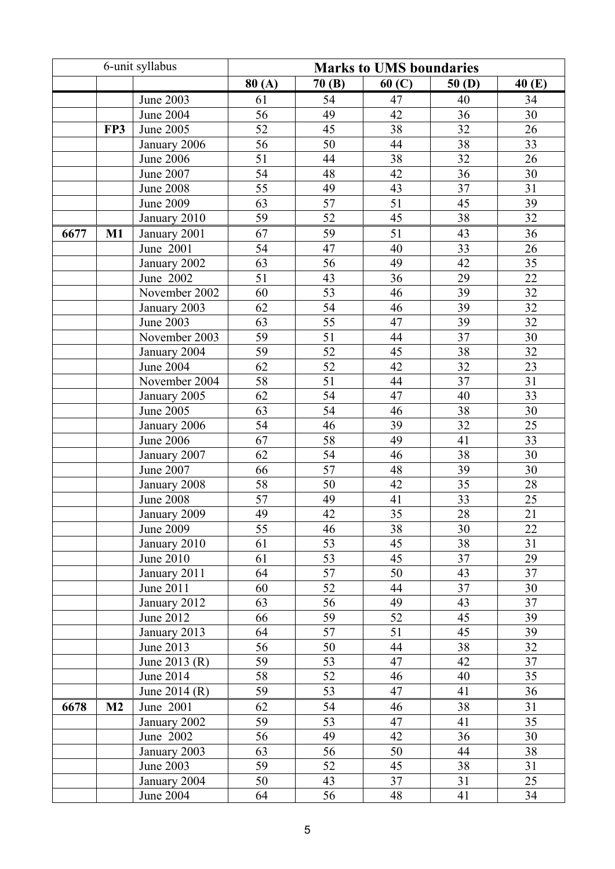|      | 6-unit syllabus |                  |                 |                 | <b>Marks to UMS boundaries</b> |                 |                 |
|------|-----------------|------------------|-----------------|-----------------|--------------------------------|-----------------|-----------------|
|      |                 |                  | 80(A)           | 70(B)           | 60(C)                          | 50(D)           | 40 (E)          |
|      |                 | <b>June 2003</b> | 61              | 54              | 47                             | 40              | 34              |
|      |                 | <b>June 2004</b> | 56              | 49              | 42                             | 36              | 30              |
|      | FP3             | June 2005        | 52              | 45              | 38                             | 32              | 26              |
|      |                 | January 2006     | 56              | 50              | 44                             | 38              | 33              |
|      |                 | <b>June 2006</b> | 51              | 44              | 38                             | 32              | 26              |
|      |                 | June 2007        | $\overline{54}$ | 48              | 42                             | $\overline{36}$ | 30              |
|      |                 | <b>June 2008</b> | 55              | 49              | 43                             | $\overline{37}$ | $\overline{31}$ |
|      |                 | June 2009        | 63              | 57              | 51                             | 45              | 39              |
|      |                 | January 2010     | 59              | 52              | 45                             | 38              | 32              |
| 6677 | $M1$            | January 2001     | 67              | 59              | 51                             | 43              | 36              |
|      |                 | June 2001        | 54              | 47              | 40                             | 33              | 26              |
|      |                 | January 2002     | 63              | 56              | 49                             | 42              | 35              |
|      |                 | June 2002        | 51              | 43              | 36                             | 29              | 22              |
|      |                 | November 2002    | 60              | 53              | 46                             | 39              | 32              |
|      |                 | January 2003     | 62              | 54              | 46                             | $\overline{39}$ | $\overline{32}$ |
|      |                 | <b>June 2003</b> | 63              | $\overline{55}$ | 47                             | 39              | 32              |
|      |                 | November 2003    | 59              | 51              | 44                             | $\overline{37}$ | $\overline{30}$ |
|      |                 | January 2004     | 59              | 52              | 45                             | 38              | $\overline{32}$ |
|      |                 | <b>June 2004</b> | 62              | 52              | 42                             | $\overline{32}$ | 23              |
|      |                 | November 2004    | 58              | $\overline{51}$ | 44                             | $\overline{37}$ | 31              |
|      |                 | January 2005     | 62              | 54              | 47                             | 40              | 33              |
|      |                 | <b>June 2005</b> | 63              | 54              | 46                             | 38              | 30              |
|      |                 | January 2006     | 54              | 46              | 39                             | 32              | 25              |
|      |                 | <b>June 2006</b> | 67              | 58              | 49                             | 41              | 33              |
|      |                 | January 2007     | 62              | 54              | 46                             | 38              | 30              |
|      |                 | <b>June 2007</b> | 66              | 57              | 48                             | 39              | 30              |
|      |                 | January 2008     | 58              | 50              | 42                             | 35              | 28              |
|      |                 | <b>June 2008</b> | 57              | 49              | 41                             | 33              | 25              |
|      |                 | January 2009     | 49              | 42              | 35                             | $\overline{28}$ | 21              |
|      |                 | June 2009        | 55              | 46              | 38                             | 30              | 22              |
|      |                 | January 2010     | 61              | 53              | 45                             | 38              | 31              |
|      |                 | June 2010        | 61              | 53              | 45                             | 37              | 29              |
|      |                 | January 2011     | 64              | 57              | 50                             | 43              | 37              |
|      |                 | June 2011        | 60              | 52              | 44                             | 37              | 30              |
|      |                 | January 2012     | 63              | 56              | 49                             | 43              | 37              |
|      |                 | June 2012        | 66              | 59              | 52                             | 45              | 39              |
|      |                 | January 2013     | 64              | 57              | 51                             | 45              | 39              |
|      |                 | June 2013        | 56              | 50              | 44                             | 38              | 32              |
|      |                 | June 2013 (R)    | 59              | 53              | 47                             | 42              | 37              |
|      |                 | June 2014        | 58              | 52              | 46                             | 40              | 35              |
|      |                 | June 2014 (R)    | 59              | 53              | 47                             | 41              | 36              |
| 6678 | M <sub>2</sub>  | June 2001        | 62              | 54              | 46                             | 38              | 31              |
|      |                 | January 2002     | 59              | 53              | 47                             | 41              | 35              |
|      |                 | June 2002        | 56              | 49              | 42                             | 36              | 30              |
|      |                 | January 2003     | 63              | 56              | 50                             | 44              | 38              |
|      |                 | June 2003        | 59              | 52              | 45                             | 38              | 31              |
|      |                 | January 2004     | 50              | 43              | 37                             | 31              | 25              |
|      |                 | June 2004        | 64              | 56              | 48                             | 41              | 34              |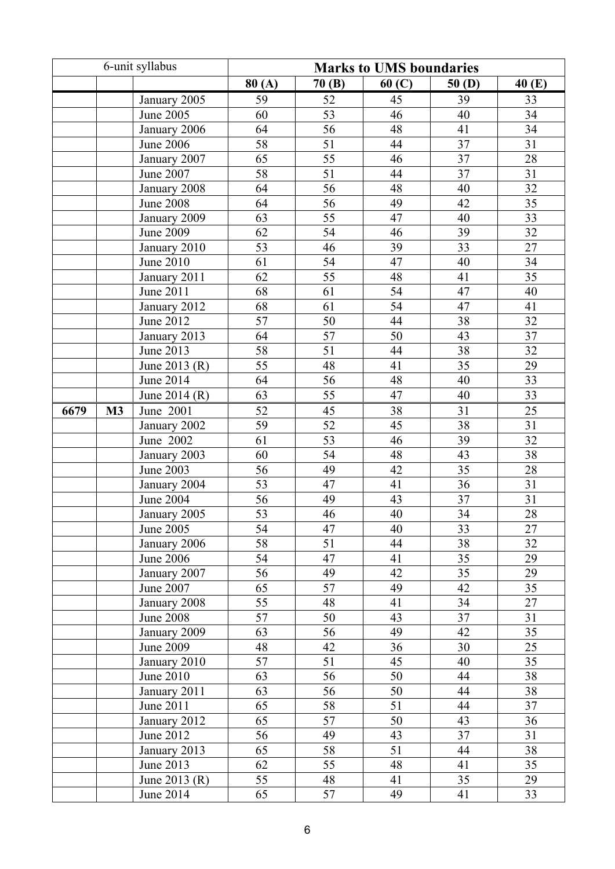|      |    | 6-unit syllabus  | <b>Marks to UMS boundaries</b> |                 |       |                 |                 |  |
|------|----|------------------|--------------------------------|-----------------|-------|-----------------|-----------------|--|
|      |    |                  | 80(A)                          | 70(B)           | 60(C) | 50(D)           | 40 (E)          |  |
|      |    | January 2005     | 59                             | 52              | 45    | 39              | 33              |  |
|      |    | June 2005        | 60                             | 53              | 46    | 40              | 34              |  |
|      |    | January 2006     | 64                             | 56              | 48    | 41              | 34              |  |
|      |    | <b>June 2006</b> | 58                             | 51              | 44    | 37              | 31              |  |
|      |    | January 2007     | 65                             | 55              | 46    | 37              | 28              |  |
|      |    | <b>June 2007</b> | 58                             | $\overline{51}$ | 44    | $\overline{37}$ | 31              |  |
|      |    | January 2008     | 64                             | 56              | 48    | 40              | $\overline{32}$ |  |
|      |    | <b>June 2008</b> | 64                             | 56              | 49    | 42              | $\overline{35}$ |  |
|      |    | January 2009     | 63                             | 55              | 47    | 40              | 33              |  |
|      |    | <b>June 2009</b> | 62                             | 54              | 46    | 39              | $\overline{32}$ |  |
|      |    | January 2010     | 53                             | 46              | 39    | 33              | 27              |  |
|      |    | <b>June 2010</b> | 61                             | 54              | 47    | 40              | 34              |  |
|      |    | January 2011     | 62                             | 55              | 48    | 41              | 35              |  |
|      |    | June 2011        | 68                             | 61              | 54    | 47              | 40              |  |
|      |    | January 2012     | 68                             | 61              | 54    | 47              | 41              |  |
|      |    | June 2012        | 57                             | 50              | 44    | 38              | 32              |  |
|      |    | January 2013     | 64                             | 57              | 50    | 43              | 37              |  |
|      |    | June 2013        | 58                             | 51              | 44    | 38              | 32              |  |
|      |    | June 2013 (R)    | $\overline{55}$                | 48              | 41    | $\overline{35}$ | 29              |  |
|      |    | <b>June 2014</b> | 64                             | 56              | 48    | 40              | $\overline{33}$ |  |
|      |    | June 2014 (R)    | 63                             | 55              | 47    | 40              | 33              |  |
| 6679 | M3 | June 2001        | 52                             | 45              | 38    | 31              | 25              |  |
|      |    | January 2002     | 59                             | 52              | 45    | 38              | 31              |  |
|      |    | June 2002        | 61                             | 53              | 46    | 39              | 32              |  |
|      |    | January 2003     | 60                             | 54              | 48    | 43              | 38              |  |
|      |    | <b>June 2003</b> | 56                             | 49              | 42    | 35              | 28              |  |
|      |    | January 2004     | 53                             | 47              | 41    | 36              | 31              |  |
|      |    | <b>June 2004</b> | 56                             | 49              | 43    | 37              | 31              |  |
|      |    | January 2005     | 53                             | 46              | 40    | $\overline{34}$ | 28              |  |
|      |    | June 2005        | 54                             | 47              | 40    | 33              | 27              |  |
|      |    | January 2006     | 58                             | 51              | 44    | 38              | 32              |  |
|      |    | <b>June 2006</b> | 54                             | 47              | 41    | 35              | 29              |  |
|      |    | January 2007     | 56                             | 49              | 42    | $\overline{35}$ | 29              |  |
|      |    | June 2007        | 65                             | 57              | 49    | 42              | 35              |  |
|      |    | January 2008     | 55                             | 48              | 41    | 34              | 27              |  |
|      |    | <b>June 2008</b> | 57                             | 50              | 43    | 37              | 31              |  |
|      |    | January 2009     | 63                             | 56              | 49    | 42              | 35              |  |
|      |    | <b>June 2009</b> | 48                             | 42              | 36    | 30              | 25              |  |
|      |    | January 2010     | 57                             | 51              | 45    | 40              | 35              |  |
|      |    | June 2010        | 63                             | 56              | 50    | 44              | 38              |  |
|      |    | January 2011     | 63                             | 56              | 50    | 44              | 38              |  |
|      |    | June 2011        | 65                             | 58              | 51    | 44              | 37              |  |
|      |    | January 2012     | 65                             | 57              | 50    | 43              | 36              |  |
|      |    | June 2012        | 56                             | 49              | 43    | 37              | 31              |  |
|      |    | January 2013     | 65                             | 58              | 51    | 44              | 38              |  |
|      |    | June 2013        | 62                             | 55              | 48    | 41              | 35              |  |
|      |    | June 2013 (R)    | 55                             | 48              | 41    | 35              | 29              |  |
|      |    | June 2014        | 65                             | 57              | 49    | 41              | 33              |  |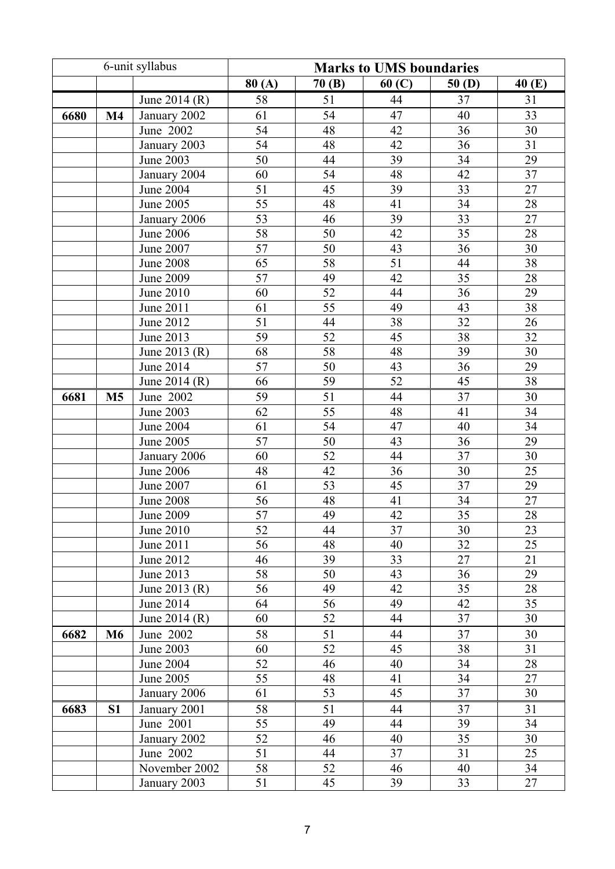|      |                | 6-unit syllabus  |       |       | <b>Marks to UMS boundaries</b> |                 |                 |
|------|----------------|------------------|-------|-------|--------------------------------|-----------------|-----------------|
|      |                |                  | 80(A) | 70(B) | 60(C)                          | 50(D)           | 40(E)           |
|      |                | June 2014 (R)    | 58    | 51    | 44                             | 37              | 31              |
| 6680 | $\mathbf{M}4$  | January 2002     | 61    | 54    | 47                             | 40              | 33              |
|      |                | June 2002        | 54    | 48    | 42                             | 36              | 30              |
|      |                | January 2003     | 54    | 48    | 42                             | 36              | $\overline{31}$ |
|      |                | <b>June 2003</b> | 50    | 44    | 39                             | 34              | 29              |
|      |                | January 2004     | 60    | 54    | 48                             | 42              | 37              |
|      |                | June 2004        | 51    | 45    | 33<br>39                       |                 | $27\,$          |
|      |                | June 2005        | 55    | 48    | 41                             | 34              | 28              |
|      |                | January 2006     | 53    | 46    | 39                             | 33              | $\overline{27}$ |
|      |                | <b>June 2006</b> | 58    | 50    | 42                             | 35              | 28              |
|      |                | June 2007        | 57    | 50    | 43                             | 36              | 30              |
|      |                | <b>June 2008</b> | 65    | 58    | 51                             | 44              | 38              |
|      |                | June 2009        | 57    | 49    | 42                             | 35              | 28              |
|      |                | June 2010        | 60    | 52    | 44                             | 36              | 29              |
|      |                | June 2011        | 61    | 55    | 49                             | 43              | 38              |
|      |                | June 2012        | 51    | 44    | 38                             | 32              | $\overline{26}$ |
|      |                | June 2013        | 59    | 52    | 45                             | 38              | 32              |
|      |                | June 2013 (R)    | 68    | 58    | 48                             | 39              | 30              |
|      |                | June 2014        | 57    | 50    | 43                             | 36              | 29              |
|      |                | June 2014 (R)    | 66    | 59    | 52                             | 45              | $\overline{38}$ |
| 6681 | M <sub>5</sub> | June 2002        | 59    | 51    | 44                             | 37              | 30              |
|      |                | June 2003        | 62    | 55    | 48                             | 41              | 34              |
|      |                | June 2004        | 61    | 54    | 47                             | 40              | 34              |
|      |                | <b>June 2005</b> | 57    | 50    | 43                             | $\overline{36}$ | $\overline{29}$ |
|      |                | January 2006     | 60    | 52    | 44                             | 37              | 30              |
|      |                | <b>June 2006</b> | 48    | 42    | 36                             | 30              | $\overline{25}$ |
|      |                | June 2007        | 61    | 53    | 45                             | 37              | 29              |
|      |                | <b>June 2008</b> | 56    | 48    | 41                             | 34              | $\overline{27}$ |
|      |                | <b>June 2009</b> | 57    | 49    | 42                             | $\overline{35}$ | 28              |
|      |                | June 2010        | 52    | 44    | 37                             | 30              | 23              |
|      |                | June 2011        | 56    | 48    | 40                             | 32              | 25              |
|      |                | June 2012        | 46    | 39    | 33                             | 27              | 21              |
|      |                | June 2013        | 58    | 50    | 43                             | 36              | 29              |
|      |                | June 2013 (R)    | 56    | 49    | 42                             | 35              | 28              |
|      |                | June 2014        | 64    | 56    | 49                             | 42              | 35              |
|      |                | June 2014 (R)    | 60    | 52    | 44                             | 37              | 30              |
| 6682 | <b>M6</b>      | June 2002        | 58    | 51    | 44                             | 37              | 30              |
|      |                | June 2003        | 60    | 52    | 45                             | 38              | 31              |
|      |                | June 2004        | 52    | 46    | 40                             | 34              | 28              |
|      |                | June 2005        | 55    | 48    | 41                             | 34              | 27              |
|      |                | January 2006     | 61    | 53    | 45                             | 37              | 30              |
| 6683 | S <sub>1</sub> | January 2001     | 58    | 51    | 44                             | 37              | 31              |
|      |                | June 2001        | 55    | 49    | 44                             | 39              | 34              |
|      |                | January 2002     | 52    | 46    | 40                             | 35              | 30              |
|      |                | June 2002        | 51    | 44    | 37                             | 31              | 25              |
|      |                | November 2002    | 58    | 52    | 46                             | 40              | 34              |
|      |                | January 2003     | 51    | 45    | 39<br>33                       |                 | 27              |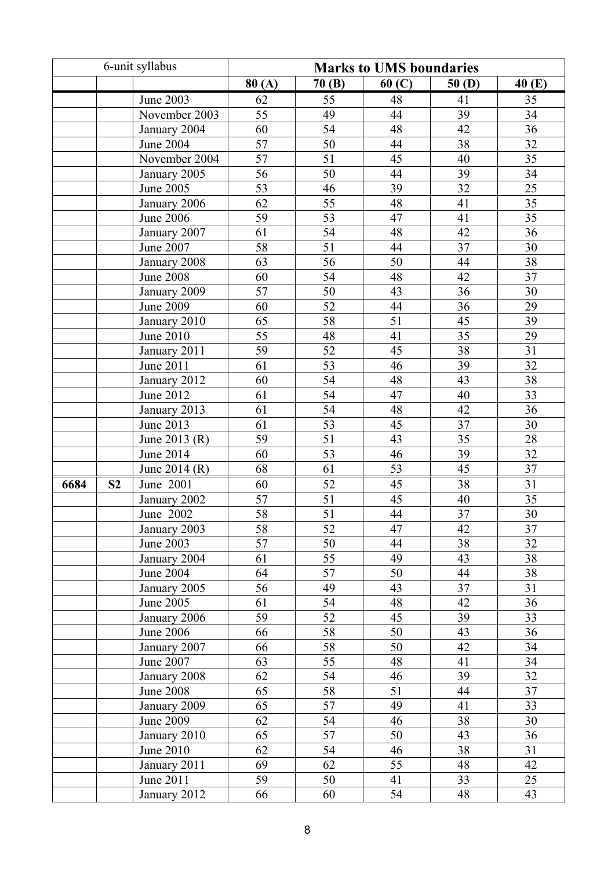|      |                 | 6-unit syllabus  | <b>Marks to UMS boundaries</b> |                 |                 |                 |                 |  |
|------|-----------------|------------------|--------------------------------|-----------------|-----------------|-----------------|-----------------|--|
|      |                 |                  | 80(A)                          | 70(B)           | 60(C)           | 50(D)           | 40 (E)          |  |
|      |                 | <b>June 2003</b> | 62                             | 55              | 48              | 41              | 35              |  |
|      |                 | November 2003    | 55                             | 49              | 44              | 39              | 34              |  |
|      |                 | January 2004     | 60                             | 54              | 48              | 42              | 36              |  |
|      |                 | <b>June 2004</b> | 57                             | 50              | 44              | 38              | 32              |  |
|      |                 | November 2004    | 57                             | 51              | 45              | 40              | 35              |  |
|      |                 | January 2005     | $\overline{56}$                | 50              | 44              | 39              | $\overline{34}$ |  |
|      |                 | June 2005        | 53                             | 46              | 39              | $\overline{32}$ | $\overline{25}$ |  |
|      |                 | January 2006     | 62                             | 55              | 48              | 41              | $\overline{35}$ |  |
|      |                 | <b>June 2006</b> | 59                             | 53              | 47              | 41              | 35              |  |
|      |                 | January 2007     | 61                             | $\overline{54}$ | 48              | 42              | $\overline{36}$ |  |
|      |                 | June 2007        | 58                             | 51              | 44              | 37              | 30              |  |
|      |                 | January 2008     | 63                             | 56              | $\overline{50}$ | 44              | 38              |  |
|      |                 | <b>June 2008</b> | 60                             | 54              | 48              | 42              | 37              |  |
|      |                 | January 2009     | 57                             | 50              | 43              | 36              | 30              |  |
|      |                 | <b>June 2009</b> | 60                             | 52              | 44              | 36              | 29              |  |
|      |                 | January 2010     | 65                             | 58              | 51              | 45              | 39              |  |
|      | 55<br>June 2010 |                  | 48                             | 41              | 35              | 29              |                 |  |
|      |                 | January 2011     | 59                             | 52              | 45              | 38              | 31              |  |
|      |                 | June 2011        | 61                             | $\overline{53}$ | 46              | 39              | $\overline{32}$ |  |
|      |                 | January 2012     | 60                             | 54              | 48              | 43              | $\overline{38}$ |  |
|      |                 | June 2012        | 61                             | 54              | 47              | 40              | 33              |  |
|      |                 | January 2013     | 61                             | 54              | 48              | 42              | 36              |  |
|      |                 | June 2013        | 61                             | 53              | 45              | 37              | 30              |  |
|      |                 | June 2013 (R)    | 59                             | 51              | 43              | 35              | 28              |  |
|      |                 | <b>June 2014</b> | 60                             | 53              | 46              | 39              | 32              |  |
|      |                 | June 2014 (R)    | 68                             | 61              | 53              | 45              | 37              |  |
| 6684 | S <sub>2</sub>  | June 2001        | 60                             | 52              | 45              | 38              | 31              |  |
|      |                 | January 2002     | 57                             | 51              | 45              | 40              | 35              |  |
|      |                 | June 2002        | 58                             | $\overline{51}$ | 44              | $\overline{37}$ | 30              |  |
|      |                 | January 2003     | 58                             | 52              | 47              | 42              | 37              |  |
|      |                 | June 2003        | 57                             | 50              | 44              | 38              | 32              |  |
|      |                 | January 2004     | 61                             | 55              | 49              | 43              | 38              |  |
|      |                 | <b>June 2004</b> | 64                             | 57              | 50              | 44              | 38              |  |
|      |                 | January 2005     | 56                             | 49              | 43              | 37              | 31              |  |
|      |                 | June 2005        | 61                             | 54              | 48              | 42              | 36              |  |
|      |                 | January 2006     | 59                             | 52              | 45              | 39              | 33              |  |
|      |                 | <b>June 2006</b> | 66                             | 58              | 50              | 43              | 36              |  |
|      |                 | January 2007     | 66                             | 58              | 50              | 42              | 34              |  |
|      |                 | June 2007        | 63                             | 55              | 48              | 41              | 34              |  |
|      |                 | January 2008     | 62                             | 54              | 46              | 39              | 32              |  |
|      |                 | <b>June 2008</b> | 65                             | 58              | 51              | 44              | 37              |  |
|      |                 | January 2009     | 65                             | 57              | 49              | 41              | 33              |  |
|      |                 | <b>June 2009</b> | 62                             | 54              | 46              | 38              | 30              |  |
|      |                 | January 2010     | 65                             | 57              | 50              | 43              | 36              |  |
|      |                 | June 2010        | 62                             | 54              | 46              | 38              | 31              |  |
|      |                 | January 2011     | 69                             | 62              | 55              | 48              | 42              |  |
|      |                 | June 2011        | 59                             | 50              | 41              | 33              | 25              |  |
|      |                 | January 2012     | 66                             | 60              | 54              | 48              | 43              |  |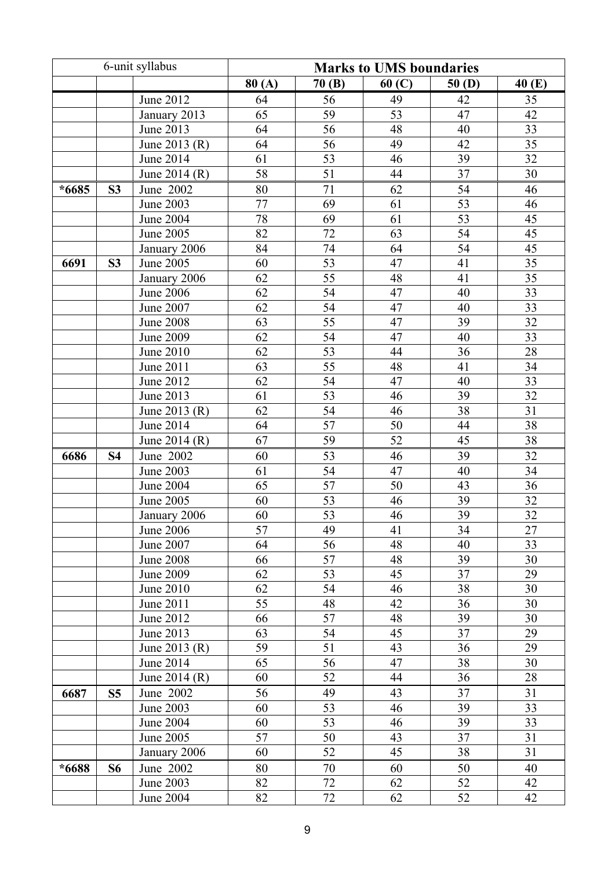| 6-unit syllabus |                |                  |                 |                 | <b>Marks to UMS boundaries</b> |                 |                 |
|-----------------|----------------|------------------|-----------------|-----------------|--------------------------------|-----------------|-----------------|
|                 |                |                  | 80(A)           | 70(B)           | 60(C)                          | 50(D)           | 40 (E)          |
|                 |                | June 2012        | 64              | 56              | 49                             | 42              | 35              |
|                 |                | January 2013     | 65              | 59              | 53                             | 47              | 42              |
|                 |                | June 2013        | 64              | 56              | 48                             | 40              | 33              |
|                 |                | June 2013 (R)    | 64              | 56              | 49                             | 42              | $\overline{35}$ |
|                 |                | June 2014        | 61              | 53              | 46                             | 39              | 32              |
|                 |                | June 2014 (R)    | 58              | 51              | 44                             | 37              | 30              |
| $*6685$         | S <sub>3</sub> | June 2002        | 80              | 71              | 62                             | 54              | 46              |
|                 |                | June 2003        | $77 \,$         | 69              | 61                             | $\overline{53}$ | 46              |
|                 |                | <b>June 2004</b> | 78              | 69              | 61                             | $\overline{53}$ | 45              |
|                 |                | June 2005        | $\overline{82}$ | $\overline{72}$ | 63                             | 54              | $\overline{45}$ |
|                 |                | January 2006     | 84              | 74              | 64                             | 54              | 45              |
| 6691            | S <sub>3</sub> | <b>June 2005</b> | 60              | 53              | 47                             | 41              | $\overline{35}$ |
|                 |                | January 2006     | 62              | 55              | 48                             | 41              | 35              |
|                 |                | <b>June 2006</b> | 62              | 54              | 47                             | 40              | 33              |
|                 |                | June 2007        | 62              | 54              | 47                             | 40              | 33              |
|                 |                | <b>June 2008</b> | 63              | 55              | 47                             | 39              | 32              |
|                 |                | June 2009        | 62              | 54              | 47                             | 40              | 33              |
|                 |                | June 2010        | 62              | 53              | 44                             | 36              | 28              |
|                 |                | June 2011        | 63              | 55              | 48                             | 41              | 34              |
|                 |                | June 2012        | 62              | 54              | 47                             | 40              | 33              |
|                 |                | June 2013        | 61              | 53              | 46                             | 39              | 32              |
|                 |                | June 2013 (R)    | 62              | 54              | 46                             | $\overline{38}$ | 31              |
|                 |                | June 2014        | 64              | 57              | 50                             | 44              | 38              |
|                 |                | June 2014 (R)    | 67              | 59              | 52                             | 45              | 38              |
| 6686            | <b>S4</b>      | June 2002        | 60              | 53              | 46                             | 39              | 32              |
|                 |                | <b>June 2003</b> | 61              | 54              | 47                             | 40              | 34              |
|                 |                | <b>June 2004</b> | 65              | 57              | 50                             | 43              | 36              |
|                 |                | June 2005        | 60              | 53              | 46                             | 39              | 32              |
|                 |                | January 2006     | 60              | 53              | 46                             | 39              | 32              |
|                 |                | June 2006        | 57              | 49              | 41                             | 34              | 27              |
|                 |                | June 2007        | 64              | 56              | 48                             | 40              | 33              |
|                 |                | <b>June 2008</b> | 66              | 57              | 48                             | 39              | 30              |
|                 |                | June 2009        | 62              | 53              | 45                             | 37              | 29              |
|                 |                | June 2010        | 62              | 54              | 46                             | 38              | 30              |
|                 |                | June 2011        | 55              | 48              | 42                             | 36              | 30              |
|                 |                | June 2012        | 66              | 57              | 48                             | 39              | 30              |
|                 |                | June 2013        | 63              | 54              | 45                             | 37              | 29              |
|                 |                | June 2013 (R)    | 59              | 51              | 43                             | 36              | 29              |
|                 |                | June 2014        | 65              | 56              | 47                             | 38              | 30              |
|                 |                | June 2014 (R)    | 60              | 52              | 44                             | 36              | 28              |
| 6687            | S <sub>5</sub> | June 2002        | 56              | 49              | 43                             | 37              | 31              |
|                 |                | June 2003        | 60              | 53              | 46                             | 39              | 33              |
|                 |                | June 2004        | 60              | 53              | 46                             | 39              | 33              |
|                 |                | June 2005        | 57              | 50              | 43                             | 37              | 31              |
|                 |                | January 2006     | 60              | 52              | 45                             | 38              | 31              |
| *6688           | <b>S6</b>      | June 2002        | 80              | 70              | 60                             | 50              | 40              |
|                 |                | June 2003        | 82              | 72              | 62                             | 52              | 42              |
|                 |                | <b>June 2004</b> | 82              | 72              | 62                             | 52              | 42              |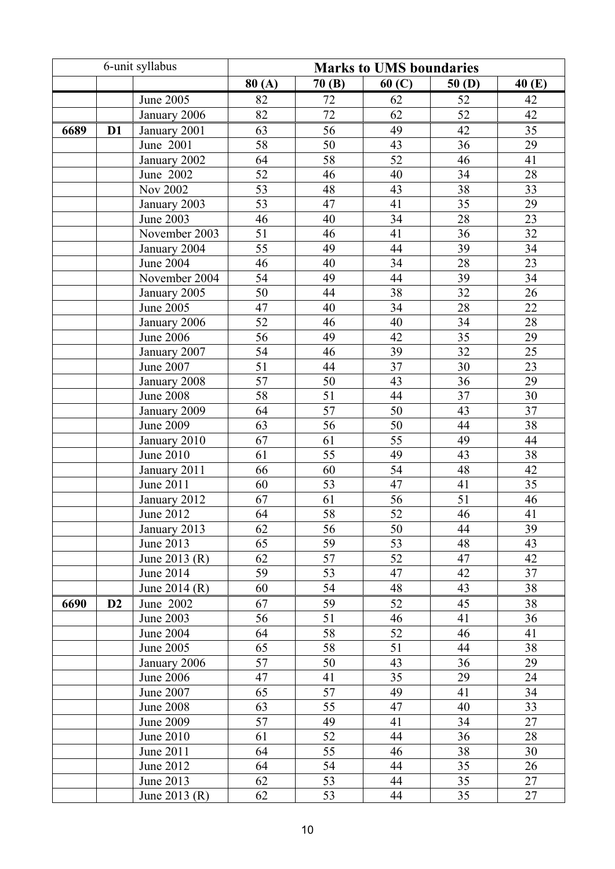|      |                | 6-unit syllabus  |                 |                 | <b>Marks to UMS boundaries</b> |                 |                 |
|------|----------------|------------------|-----------------|-----------------|--------------------------------|-----------------|-----------------|
|      |                |                  | 80(A)           | 70(B)           | 60(C)                          | 50(D)           | 40 (E)          |
|      |                | <b>June 2005</b> | 82              | 72              | 62                             | 52              | 42              |
|      |                | January 2006     | 82              | 72              | 62                             | 52              | 42              |
| 6689 | D <sub>1</sub> | January 2001     | 63              | 56              | 49                             | 42              | 35              |
|      |                | June 2001        | 58              | 50              | 43                             | $\overline{36}$ | 29              |
|      |                | January 2002     | 64              | 58              | 52                             | 46              | $\overline{41}$ |
|      |                | June 2002        | 52              | 46              | 40                             | 34              | $28\,$          |
|      |                | Nov 2002         | 53              | 48              | 43                             | 38              | 33              |
|      |                | January 2003     | 53              | 47              | 41                             | 35              | 29              |
|      |                | <b>June 2003</b> | 46              | 40              | $\overline{34}$                | 28              | 23              |
|      |                | November 2003    | 51              | 46              | 41                             | 36              | 32              |
|      |                | January 2004     | 55              | 49              | 44                             | 39              | 34              |
|      |                | <b>June 2004</b> | 46              | 40              | 34                             | $\overline{28}$ | 23              |
|      |                | November 2004    | 54              | 49              | 44                             | 39              | 34              |
|      |                | January 2005     | 50              | 44              | 38                             | 32              | 26              |
|      |                | <b>June 2005</b> | 47              | 40              | 34                             | 28              | 22              |
|      |                | January 2006     | 52              | 46              | 40                             | $\overline{34}$ | 28              |
|      |                | <b>June 2006</b> | $\overline{56}$ | 49              | 42                             | $\overline{35}$ | 29              |
|      |                | January 2007     | $\overline{54}$ | 46              | 39                             | $\overline{32}$ | $\overline{25}$ |
|      |                | <b>June 2007</b> | 51              | 44              | 37                             | 30              | 23              |
|      |                | January 2008     | 57              | 50              | 43                             | $\overline{36}$ | 29              |
|      |                | <b>June 2008</b> | 58              | 51              | 44                             | 37              | 30              |
|      |                | January 2009     | 64              | 57              | 50                             | 43              | 37              |
|      |                | <b>June 2009</b> | 63              | 56              | 50                             | 44              | 38              |
|      |                | January 2010     | 67              | 61              | 55                             | 49              | 44              |
|      |                | <b>June 2010</b> | 61              | 55              | 49                             | 43              | 38              |
|      |                | January 2011     | 66              | 60              | 54                             | 48              | 42              |
|      |                | June 2011        | 60              | 53              | 47                             | 41              | $\overline{35}$ |
|      |                | January 2012     | 67              | 61              | 56                             | 51              | 46              |
|      |                | <b>June 2012</b> | 64              | $\overline{58}$ | $\overline{52}$                | 46              | 41              |
|      |                | January 2013     | 62              | 56              | 50                             | 44              | 39              |
|      |                | June 2013        | 65              | 59              | 53                             | 48              | 43              |
|      |                | June 2013 (R)    | 62              | 57              | 52                             | 47              | 42              |
|      |                | June 2014        | 59              | 53              | 47                             | 42              | 37              |
|      |                | June 2014 (R)    | 60              | 54              | 48                             | 43              | 38              |
| 6690 | D <sub>2</sub> | June 2002        | 67              | 59              | 52                             | 45              | 38              |
|      |                | June 2003        | 56              | 51              | 46                             | 41              | 36              |
|      |                | June 2004        | 64              | 58              | 52                             | 46              | 41              |
|      |                | June 2005        | 65              | 58              | 51                             | 44              | 38              |
|      |                | January 2006     | 57              | 50              | 43                             | 36              | 29              |
|      |                | <b>June 2006</b> | 47              | 41              | 35                             | 29              | 24              |
|      |                | June 2007        | 65              | 57              | 49                             | 41              | 34              |
|      |                | <b>June 2008</b> | 63              | 55              | 47                             | 40              | 33              |
|      |                | June 2009        | 57              | 49              | 41                             | 34              | 27              |
|      |                | June 2010        | 61              | 52              | 44                             | 36              | 28              |
|      |                | June 2011        | 64              | 55              | 46                             | 38              | 30              |
|      |                | June 2012        | 64              | 54              | 44                             | 35              | 26              |
|      |                | June 2013        | 62              | 53              | 44                             | 35              | 27              |
|      |                | June 2013 (R)    | 62              | 53              | 44                             | 35              | 27              |